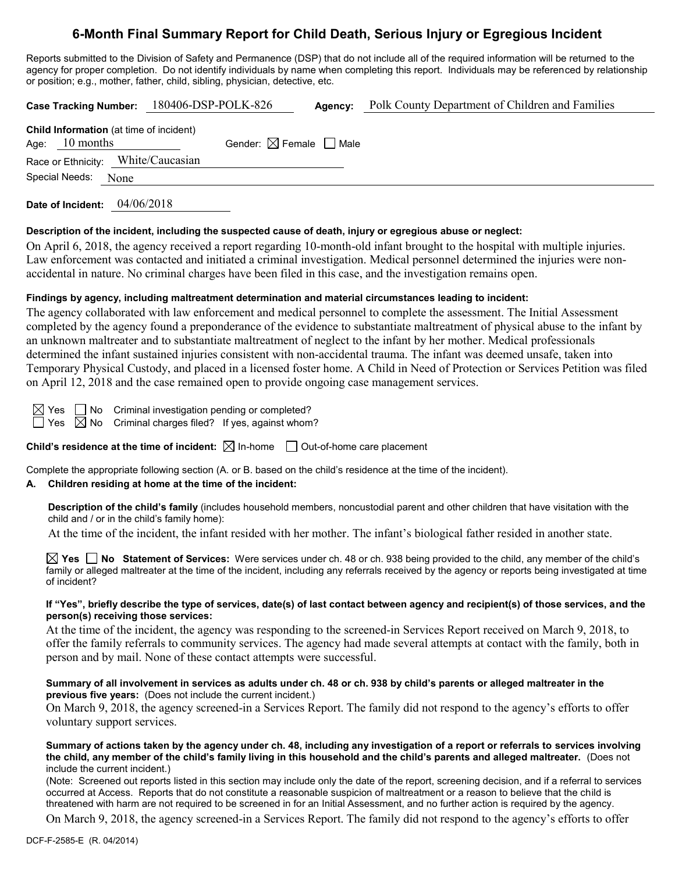# **6-Month Final Summary Report for Child Death, Serious Injury or Egregious Incident**

Reports submitted to the Division of Safety and Permanence (DSP) that do not include all of the required information will be returned to the agency for proper completion. Do not identify individuals by name when completing this report. Individuals may be referenced by relationship or position; e.g., mother, father, child, sibling, physician, detective, etc.

|                                                             |                     |  | Case Tracking Number: 180406-DSP-POLK-826 |                                        | Agency: | Polk County Department of Children and Families |  |  |
|-------------------------------------------------------------|---------------------|--|-------------------------------------------|----------------------------------------|---------|-------------------------------------------------|--|--|
| Child Information (at time of incident)<br>Age: $10$ months |                     |  |                                           | Gender: $\boxtimes$ Female $\Box$ Male |         |                                                 |  |  |
|                                                             |                     |  | Race or Ethnicity: White/Caucasian        |                                        |         |                                                 |  |  |
|                                                             | Special Needs: None |  |                                           |                                        |         |                                                 |  |  |
|                                                             |                     |  |                                           |                                        |         |                                                 |  |  |

**Date of Incident:** 04/06/2018

#### **Description of the incident, including the suspected cause of death, injury or egregious abuse or neglect:**

On April 6, 2018, the agency received a report regarding 10-month-old infant brought to the hospital with multiple injuries. Law enforcement was contacted and initiated a criminal investigation. Medical personnel determined the injuries were nonaccidental in nature. No criminal charges have been filed in this case, and the investigation remains open.

#### **Findings by agency, including maltreatment determination and material circumstances leading to incident:**

The agency collaborated with law enforcement and medical personnel to complete the assessment. The Initial Assessment completed by the agency found a preponderance of the evidence to substantiate maltreatment of physical abuse to the infant by an unknown maltreater and to substantiate maltreatment of neglect to the infant by her mother. Medical professionals determined the infant sustained injuries consistent with non-accidental trauma. The infant was deemed unsafe, taken into Temporary Physical Custody, and placed in a licensed foster home. A Child in Need of Protection or Services Petition was filed on April 12, 2018 and the case remained open to provide ongoing case management services.

 $\boxtimes$  Yes  $\Box$  No Criminal investigation pending or completed?  $\Box$  Yes  $\boxtimes$  No Criminal charges filed? If yes, against whom?

**Child's residence at the time of incident:**  $\boxtimes$  In-home  $\Box$  Out-of-home care placement

Complete the appropriate following section (A. or B. based on the child's residence at the time of the incident).

## **A. Children residing at home at the time of the incident:**

**Description of the child's family** (includes household members, noncustodial parent and other children that have visitation with the child and / or in the child's family home):

At the time of the incident, the infant resided with her mother. The infant's biological father resided in another state.

**Yes No Statement of Services:** Were services under ch. 48 or ch. 938 being provided to the child, any member of the child's family or alleged maltreater at the time of the incident, including any referrals received by the agency or reports being investigated at time of incident?

#### **If "Yes", briefly describe the type of services, date(s) of last contact between agency and recipient(s) of those services, and the person(s) receiving those services:**

At the time of the incident, the agency was responding to the screened-in Services Report received on March 9, 2018, to offer the family referrals to community services. The agency had made several attempts at contact with the family, both in person and by mail. None of these contact attempts were successful.

#### **Summary of all involvement in services as adults under ch. 48 or ch. 938 by child's parents or alleged maltreater in the previous five years:** (Does not include the current incident.)

On March 9, 2018, the agency screened-in a Services Report. The family did not respond to the agency's efforts to offer voluntary support services.

**Summary of actions taken by the agency under ch. 48, including any investigation of a report or referrals to services involving the child, any member of the child's family living in this household and the child's parents and alleged maltreater.** (Does not include the current incident.)

(Note: Screened out reports listed in this section may include only the date of the report, screening decision, and if a referral to services occurred at Access. Reports that do not constitute a reasonable suspicion of maltreatment or a reason to believe that the child is threatened with harm are not required to be screened in for an Initial Assessment, and no further action is required by the agency.

On March 9, 2018, the agency screened-in a Services Report. The family did not respond to the agency's efforts to offer